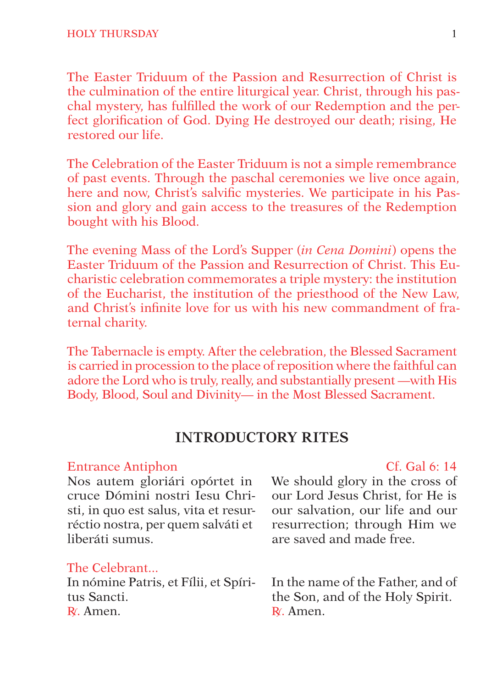The Easter Triduum of the Passion and Resurrection of Christ is the culmination of the entire liturgical year. Christ, through his paschal mystery, has fulfilled the work of our Redemption and the perfect glorification of God. Dying He destroyed our death; rising, He restored our life.

The Celebration of the Easter Triduum is not a simple remembrance of past events. Through the paschal ceremonies we live once again, here and now, Christ's salvific mysteries. We participate in his Passion and glory and gain access to the treasures of the Redemption bought with his Blood.

The evening Mass of the Lord's Supper (*in Cena Domini*) opens the Easter Triduum of the Passion and Resurrection of Christ. This Eucharistic celebration commemorates a triple mystery: the institution of the Eucharist, the institution of the priesthood of the New Law, and Christ's infinite love for us with his new commandment of fraternal charity.

The Tabernacle is empty. After the celebration, the Blessed Sacrament is carried in procession to the place of reposition where the faithful can adore the Lord who is truly, really, and substantially present —with His Body, Blood, Soul and Divinity— in the Most Blessed Sacrament.

# **INTRODUCTORY RITES**

#### Entrance Antiphon Cf. Gal 6: 14

Nos autem gloriári opórtet in cruce Dómini nostri Iesu Christi, in quo est salus, vita et resurréctio nostra, per quem salváti et liberáti sumus.

#### The Celebrant...

In nómine Patris, et Fílii, et Spíritus Sancti. R<sup>∫</sup> . Amen.

We should glory in the cross of our Lord Jesus Christ, for He is our salvation, our life and our resurrection; through Him we are saved and made free.

In the name of the Father, and of the Son, and of the Holy Spirit. R<sup>∫</sup> . Amen.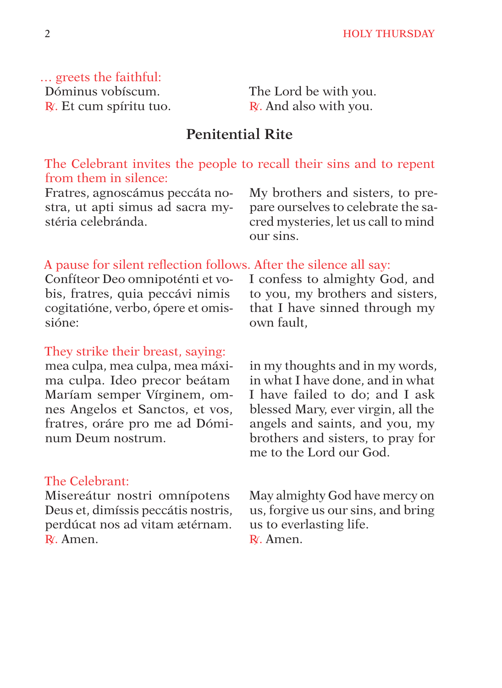… greets the faithful: Dóminus vobíscum. R<sup>∫</sup> . Et cum spíritu tuo.

The Lord be with you. R<sup>∫</sup> . And also with you.

# **Penitential Rite**

The Celebrant invites the people to recall their sins and to repent from them in silence:

Fratres, agnoscámus peccáta nostra, ut apti simus ad sacra mystéria celebránda.

My brothers and sisters, to prepare ourselves to celebrate the sacred mysteries, let us call to mind our sins.

#### A pause for silent reflection follows. After the silence all say:

Confíteor Deo omnipoténti et vobis, fratres, quia peccávi nimis cogitatióne, verbo, ópere et omissióne:

#### They strike their breast, saying:

mea culpa, mea culpa, mea máxima culpa. Ideo precor beátam Maríam semper Vírginem, omnes Angelos et Sanctos, et vos, fratres, oráre pro me ad Dóminum Deum nostrum.

### The Celebrant:

Misereátur nostri omnípotens Deus et, dimíssis peccátis nostris, perdúcat nos ad vitam ætérnam. R<sup>∫</sup> . Amen.

I confess to almighty God, and to you, my brothers and sisters, that I have sinned through my own fault,

in my thoughts and in my words, in what I have done, and in what I have failed to do; and I ask blessed Mary, ever virgin, all the angels and saints, and you, my brothers and sisters, to pray for me to the Lord our God.

May almighty God have mercy on us, forgive us our sins, and bring us to everlasting life. R<sup>∫</sup> . Amen.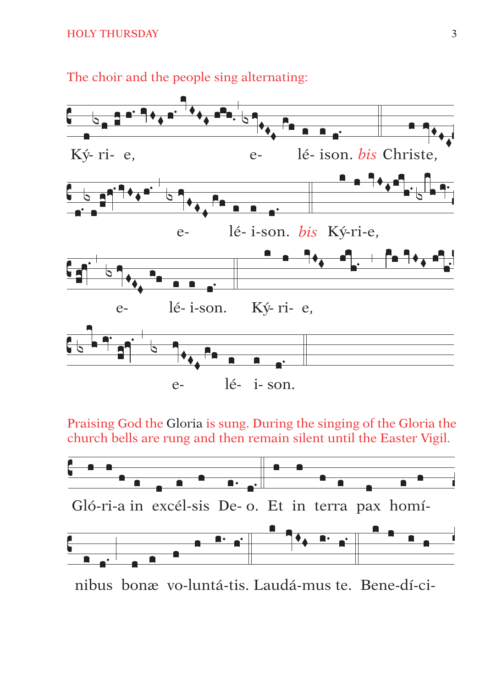

The choir and the people sing alternating:

Praising God the Gloria is sung. During the singing of the Gloria the church bells are rung and then remain silent until the Easter Vigil.



nibus bonæ vo-luntá-tis. Laudá-mus te. Bene-dí-ci-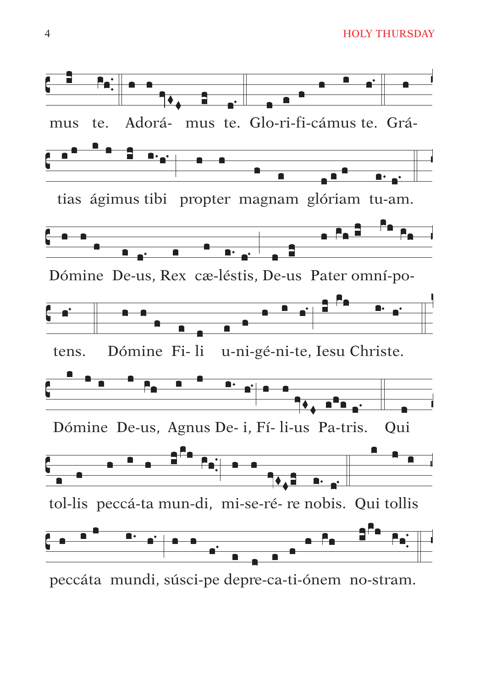**HOLY THURSDAY** 



peccáta mundi, súsci-pe depre-ca-ti-ónem no-stram.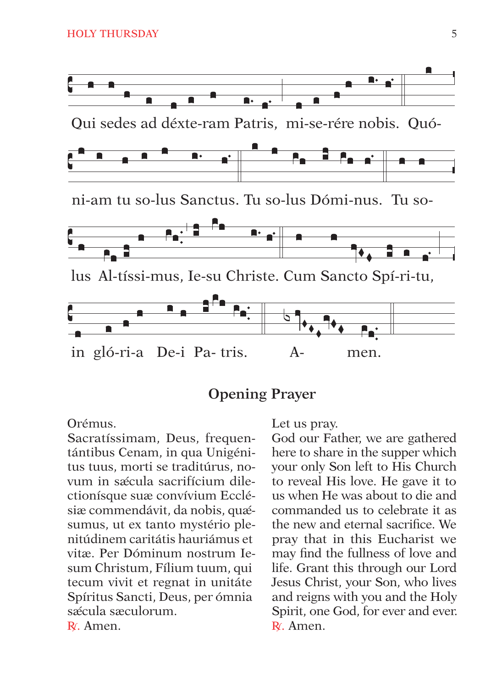

# **Opening Prayer**

Orémus

Sacratíssimam, Deus, frequentántibus Cenam, in qua Unigénitus tuus, morti se traditúrus, novum in sæcula sacrifícium dilectionísque suæ convívium Ecclésiæ commendávit, da nobis, quæsumus, ut ex tanto mystério plenitúdinem caritátis hauriámus et vitæ Per Dóminum nostrum Iesum Christum, Fílium tuum, qui tecum vivit et regnat in unitáte Spíritus Sancti, Deus, per ómnia sæcula sæculorum. R<sub>/</sub> Amen.

Let us pray.

God our Father, we are gathered here to share in the supper which vour only Son left to His Church to reveal His love. He gave it to us when He was about to die and commanded us to celebrate it as the new and eternal sacrifice. We pray that in this Eucharist we may find the fullness of love and life. Grant this through our Lord Jesus Christ, your Son, who lives and reigns with you and the Holy Spirit, one God, for ever and ever. R. Amen.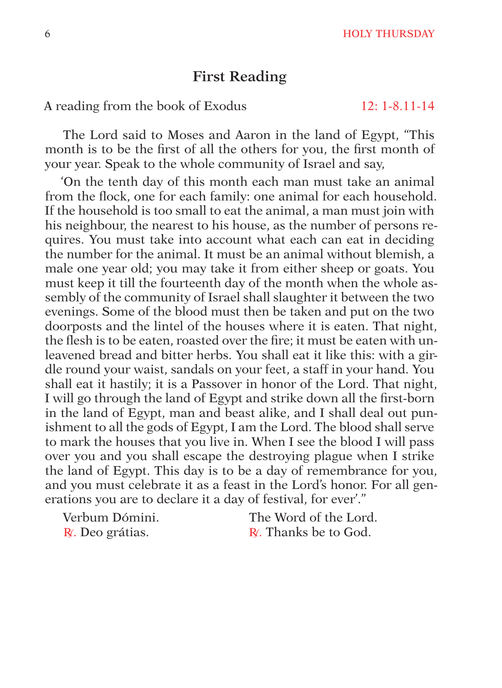# **First Reading**

A reading from the book of Exodus 12: 1-8.11-14

The Lord said to Moses and Aaron in the land of Egypt, "This month is to be the first of all the others for you, the first month of your year. Speak to the whole community of Israel and say,

'On the tenth day of this month each man must take an animal from the flock, one for each family: one animal for each household. If the household is too small to eat the animal, a man must join with his neighbour, the nearest to his house, as the number of persons requires. You must take into account what each can eat in deciding the number for the animal. It must be an animal without blemish, a male one year old; you may take it from either sheep or goats. You must keep it till the fourteenth day of the month when the whole assembly of the community of Israel shall slaughter it between the two evenings. Some of the blood must then be taken and put on the two doorposts and the lintel of the houses where it is eaten. That night, the flesh is to be eaten, roasted over the fire; it must be eaten with unleavened bread and bitter herbs. You shall eat it like this: with a girdle round your waist, sandals on your feet, a staff in your hand. You shall eat it hastily; it is a Passover in honor of the Lord. That night, I will go through the land of Egypt and strike down all the first-born in the land of Egypt, man and beast alike, and I shall deal out punishment to all the gods of Egypt, I am the Lord. The blood shall serve to mark the houses that you live in. When I see the blood I will pass over you and you shall escape the destroying plague when I strike the land of Egypt. This day is to be a day of remembrance for you, and you must celebrate it as a feast in the Lord's honor. For all generations you are to declare it a day of festival, for ever'."

Verbum Dómini. The Word of the Lord.

R∫. Deo grátias. R∫. Thanks be to God.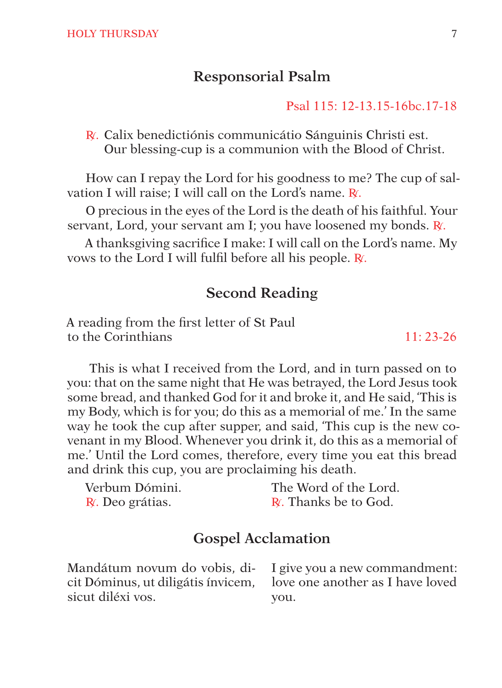# **Responsorial Psalm**

#### Psal 115: 12-13.15-16bc.17-18

R<sup>∫</sup> . Calix benedictiónis communicátio Sánguinis Christi est. Our blessing-cup is a communion with the Blood of Christ.

How can I repay the Lord for his goodness to me? The cup of salvation I will raise; I will call on the Lord's name. R∫.

O precious in the eyes of the Lord is the death of his faithful. Your servant, Lord, your servant am I; you have loosened my bonds. R∫.

A thanksgiving sacrifice I make: I will call on the Lord's name. My vows to the Lord I will fulfil before all his people. R∫.

# **Second Reading**

A reading from the first letter of St Paul to the Corinthians 11: 23-26

 This is what I received from the Lord, and in turn passed on to you: that on the same night that He was betrayed, the Lord Jesus took some bread, and thanked God for it and broke it, and He said, 'This is my Body, which is for you; do this as a memorial of me.' In the same way he took the cup after supper, and said, 'This cup is the new covenant in my Blood. Whenever you drink it, do this as a memorial of me.' Until the Lord comes, therefore, every time you eat this bread and drink this cup, you are proclaiming his death.

| Verbum Dómini.  | The Word of the Lord.       |
|-----------------|-----------------------------|
| R. Deo grátias. | <b>R.</b> Thanks be to God. |

# **Gospel Acclamation**

Mandátum novum do vobis, dicit Dóminus, ut diligátis ínvicem, sicut diléxi vos. I give you a new commandment: love one another as I have loved you.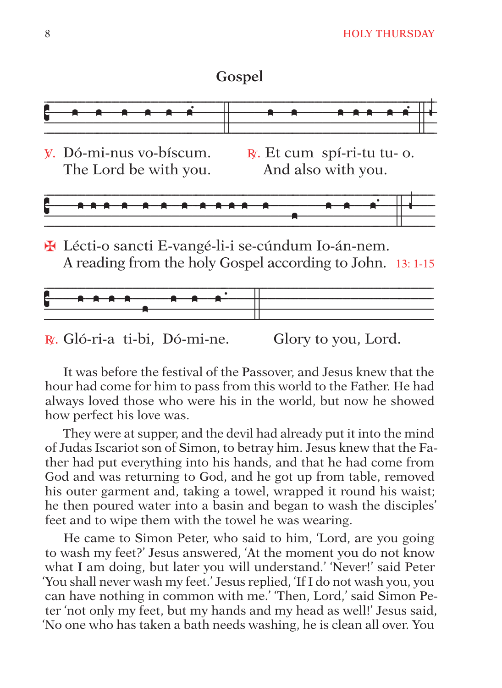#### Gospel



H Lécti-o sancti E-vangé-li-i se-cúndum Io-án-nem. A reading from the holy Gospel according to John. 13:1-15



R. Gló-ri-a ti-bi. Dó-mi-ne. Glory to you, Lord.

It was before the festival of the Passover, and Jesus knew that the hour had come for him to pass from this world to the Father. He had always loved those who were his in the world, but now he showed how perfect his love was.

They were at supper, and the devil had already put it into the mind of Judas Iscariot son of Simon, to betray him. Jesus knew that the Father had put everything into his hands, and that he had come from God and was returning to God, and he got up from table, removed his outer garment and, taking a towel, wrapped it round his waist; he then poured water into a basin and began to wash the disciples' feet and to wipe them with the towel he was wearing.

He came to Simon Peter, who said to him, 'Lord, are you going to wash my feet?' Jesus answered, 'At the moment you do not know what I am doing, but later you will understand.' 'Never!' said Peter 'You shall never wash my feet.' Jesus replied, 'If I do not wash you, you can have nothing in common with me.' 'Then, Lord,' said Simon Peter 'not only my feet, but my hands and my head as well!' Jesus said, 'No one who has taken a bath needs washing, he is clean all over. You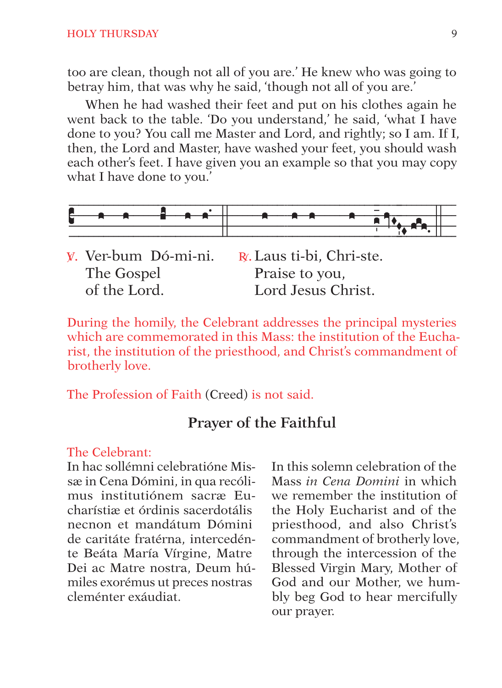#### **HOLY THURSDAY**

too are clean, though not all of you are.' He knew who was going to betray him, that was why he said, 'though not all of you are.'

When he had washed their feet and put on his clothes again he went back to the table. 'Do you understand,' he said, 'what I have done to you? You call me Master and Lord, and rightly; so I am. If I, then, the Lord and Master, have washed your feet, you should wash each other's feet. I have given you an example so that you may copy what I have done to you.'



| y. Ver-bum Dó-mi-ni. | $R$ . Laus ti-bi, Chri-ste. |
|----------------------|-----------------------------|
| The Gospel           | Praise to you,              |
| of the Lord.         | Lord Jesus Christ.          |

During the homily, the Celebrant addresses the principal mysteries which are commemorated in this Mass: the institution of the Eucharist, the institution of the priesthood, and Christ's commandment of brotherly love.

The Profession of Faith (Creed) is not said.

# Prayer of the Faithful

#### The Celebrant:

In hac sollémni celebratióne Missæ in Cena Dómini, in qua recólimus institutiónem sacræ Eucharístiæ et órdinis sacerdotális necnon et mandátum Dómini de caritáte fratérna, intercedénte Beáta María Vírgine, Matre Dei ac Matre nostra. Deum húmiles exorémus ut preces nostras cleménter exáudiat

In this solemn celebration of the Mass in Cena Domini in which we remember the institution of the Holy Eucharist and of the priesthood, and also Christ's commandment of brotherly love. through the intercession of the Blessed Virgin Mary, Mother of God and our Mother, we humbly beg God to hear mercifully our prayer.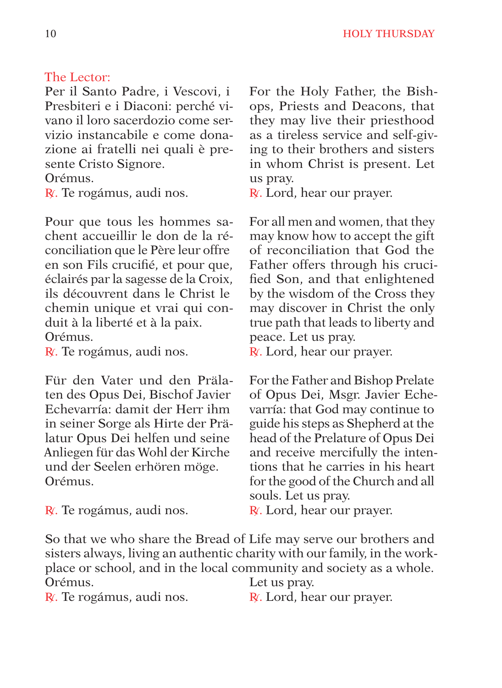#### The Lector:

Per il Santo Padre, i Vescovi, i Presbiteri e i Diaconi: perché vivano il loro sacerdozio come servizio instancabile e come donazione ai fratelli nei quali è presente Cristo Signore.

Orémus.

R<sup>∫</sup> . Te rogámus, audi nos.

Pour que tous les hommes sachent accueillir le don de la réconciliation que le Père leur offre en son Fils crucifié, et pour que, éclairés par la sagesse de la Croix, ils découvrent dans le Christ le chemin unique et vrai qui conduit à la liberté et à la paix. Orémus.

R√. Te rogámus, audi nos.

Für den Vater und den Prälaten des Opus Dei, Bischof Javier Echevarría: damit der Herr ihm in seiner Sorge als Hirte der Prälatur Opus Dei helfen und seine Anliegen für das Wohl der Kirche und der Seelen erhören möge. Orémus.

R<sup>∫</sup> . Te rogámus, audi nos.

For the Holy Father, the Bishops, Priests and Deacons, that they may live their priesthood as a tireless service and self-giving to their brothers and sisters in whom Christ is present. Let us pray.

R. Lord, hear our prayer.

For all men and women, that they may know how to accept the gift of reconciliation that God the Father offers through his crucified Son, and that enlightened by the wisdom of the Cross they may discover in Christ the only true path that leads to liberty and peace. Let us pray.

R∫. Lord, hear our prayer.

For the Father and Bishop Prelate of Opus Dei, Msgr. Javier Echevarría: that God may continue to guide his steps as Shepherd at the head of the Prelature of Opus Dei and receive mercifully the intentions that he carries in his heart for the good of the Church and all souls. Let us pray.

R<sup>∫</sup> . Lord, hear our prayer.

So that we who share the Bread of Life may serve our brothers and sisters always, living an authentic charity with our family, in the workplace or school, and in the local community and society as a whole. Orémus. Let us pray.

R<sup>∫</sup> . Te rogámus, audi nos.

R∟ Lord, hear our prayer.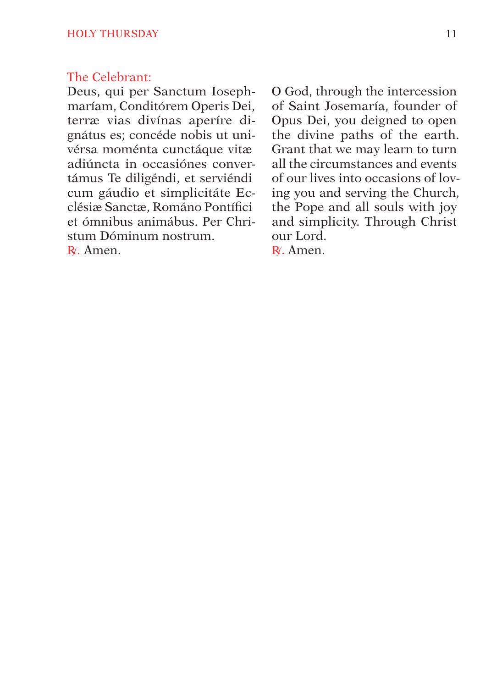#### The Celebrant:

Deus, qui per Sanctum Iosephmaríam, Conditórem Operis Dei, terræ vias divínas aperíre dignátus es; concéde nobis ut univérsa moménta cunctáque vitæ adiúncta in occasiónes convertámus Te diligéndi, et serviéndi cum gáudio et simplicitáte Ecclésiæ Sanctæ, Románo Pontífici et ómnibus animábus. Per Christum Dóminum nostrum. R<sup>∫</sup> . Amen.

O God, through the intercession of Saint Josemaría, founder of Opus Dei, you deigned to open the divine paths of the earth. Grant that we may learn to turn all the circumstances and events of our lives into occasions of loving you and serving the Church, the Pope and all souls with joy and simplicity. Through Christ our Lord.

R<sup>∫</sup> . Amen.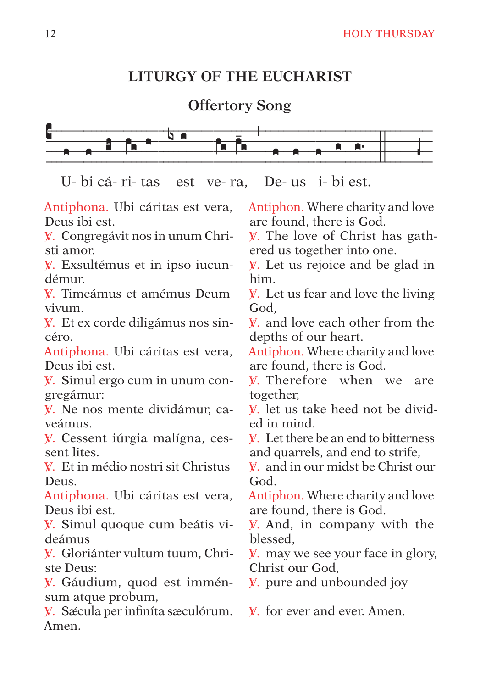# **LITURGY OF THE EUCHARIST**

**Offertory Song**



U- bi cá- ri- tas est ve- ra, De- us i- bi est.

Antiphona. Ubi cáritas est vera, Deus ibi est.

V<sup>∫</sup> . Congregávit nos in unum Christi amor.

V<sup>∫</sup> . Exsultémus et in ipso iucundémur.

V<sup>∫</sup> . Timeámus et amémus Deum vivum.

V<sup>∫</sup> . Et ex corde diligámus nos sincéro.

Antiphona. Ubi cáritas est vera, Deus ibi est.

V<sup>∫</sup> . Simul ergo cum in unum congregámur:

V<sup>∫</sup> . Ne nos mente dividámur, caveámus.

V<sup>∫</sup> . Cessent iúrgia malígna, cessent lites.

V<sup>∫</sup> . Et in médio nostri sit Christus Deus.

Antiphona. Ubi cáritas est vera, Deus ibi est.

V<sup>∫</sup> . Simul quoque cum beátis videámus

V<sup>∫</sup> . Gloriánter vultum tuum, Christe Deus:

V<sup>∫</sup> . Gáudium, quod est imménsum atque probum,

V. Sǽcula per infiníta sæculórum. Amen.

Antiphon. Where charity and love are found, there is God.

V. The love of Christ has gathered us together into one.

V<sup>∫</sup> . Let us rejoice and be glad in him.

V. Let us fear and love the living God,

V. and love each other from the depths of our heart.

Antiphon. Where charity and love are found, there is God.

V Therefore when we are together,

V. let us take heed not be divided in mind.

V<sup>∫</sup> . Let there be an end to bitterness and quarrels, and end to strife,

V<sup>∫</sup> . and in our midst be Christ our God.

Antiphon. Where charity and love are found, there is God.

**V**. And, in company with the blessed,

V<sup>∫</sup> . may we see your face in glory, Christ our God,

V<sup>∫</sup> . pure and unbounded joy

V. for ever and ever. Amen.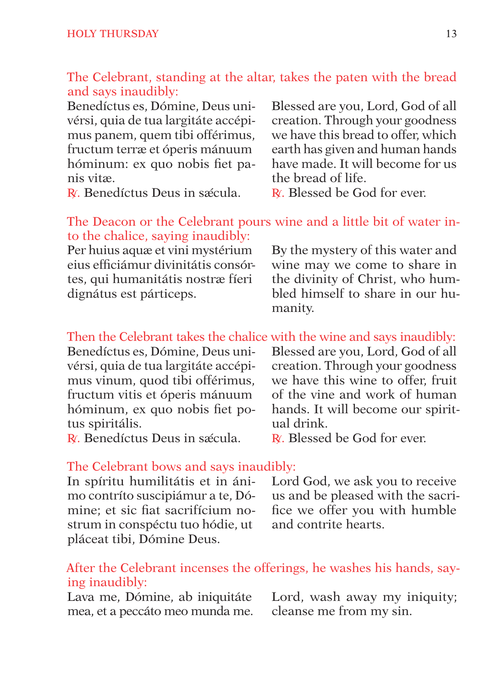#### The Celebrant, standing at the altar, takes the paten with the bread and says inaudibly:

Benedíctus es, Dómine, Deus univérsi, quia de tua largitáte accépimus panem, quem tibi offérimus, fructum terræ et óperis mánuum hóminum: ex quo nobis fiet panis vitæ.

R⊆ Benedíctus Deus in sǽcula.

Blessed are you, Lord, God of all creation. Through your goodness we have this bread to offer, which earth has given and human hands have made. It will become for us the bread of life.

R⊄ Blessed be God for ever.

#### The Deacon or the Celebrant pours wine and a little bit of water into the chalice, saying inaudibly:

Per huius aquæ et vini mystérium eius efficiámur divinitátis consórtes, qui humanitátis nostræ fíeri dignátus est párticeps.

By the mystery of this water and wine may we come to share in the divinity of Christ, who humbled himself to share in our humanity.

# Then the Celebrant takes the chalice with the wine and says inaudibly:

Benedíctus es, Dómine, Deus univérsi, quia de tua largitáte accépimus vinum, quod tibi offérimus, fructum vitis et óperis mánuum hóminum, ex quo nobis fiet potus spiritális.

R⊖ Benedíctus Deus in sǽcula.

Blessed are you, Lord, God of all creation. Through your goodness we have this wine to offer, fruit of the vine and work of human hands. It will become our spiritual drink.

R∫ Blessed be God for ever.

#### The Celebrant bows and says inaudibly:

In spíritu humilitátis et in ánimo contríto suscipiámur a te, Dómine; et sic fiat sacrifícium nostrum in conspéctu tuo hódie, ut pláceat tibi, Dómine Deus.

Lord God, we ask you to receive us and be pleased with the sacrifice we offer you with humble and contrite hearts.

#### After the Celebrant incenses the offerings, he washes his hands, saying inaudibly:

Lava me, Dómine, ab iniquitáte mea, et a peccáto meo munda me. Lord, wash away my iniquity; cleanse me from my sin.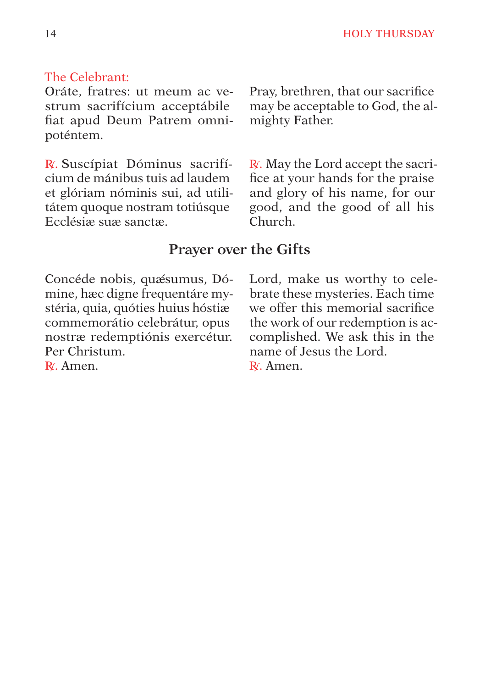# The Celebrant:

Oráte, fratres: ut meum ac vestrum sacrifícium acceptábile fiat apud Deum Patrem omnipoténtem.

R∫. Suscípiat Dóminus sacrifícium de mánibus tuis ad laudem et glóriam nóminis sui, ad utilitátem quoque nostram totiúsque Ecclésiæ suæ sanctæ.

Pray, brethren, that our sacrifice may be acceptable to God, the almighty Father.

R∫. May the Lord accept the sacrifice at your hands for the praise and glory of his name, for our good, and the good of all his Church.

# **Prayer over the Gifts**

Concéde nobis, quæsumus, Dómine, hæc digne frequentáre mystéria, quia, quóties huius hóstiæ commemorátio celebrátur, opus nostræ redemptiónis exercétur. Per Christum. R∕ Amen

Lord, make us worthy to celebrate these mysteries. Each time we offer this memorial sacrifice the work of our redemption is accomplished. We ask this in the name of Jesus the Lord. R∕ Amen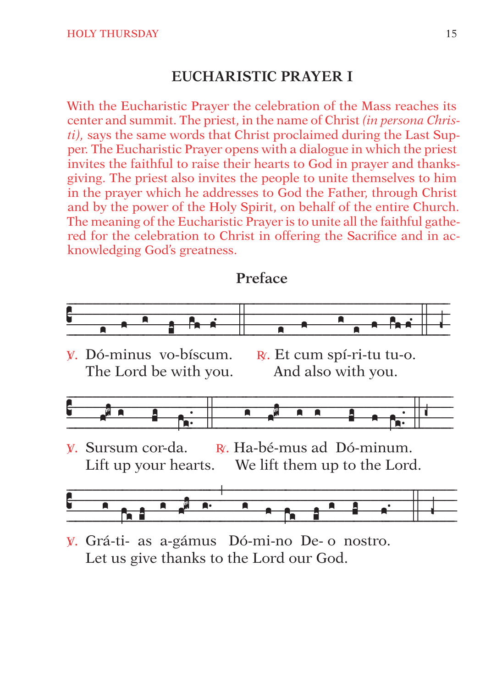# **EUCHARISTIC PRAYER I**

With the Eucharistic Prayer the celebration of the Mass reaches its center and summit. The priest, in the name of Christ *(in persona Christi)*, says the same words that Christ proclaimed during the Last Supper. The Eucharistic Prayer opens with a dialogue in which the priest invites the faithful to raise their hearts to God in prayer and thanksgiving. The priest also invites the people to unite themselves to him in the prayer which he addresses to God the Father, through Christ and by the power of the Holy Spirit, on behalf of the entire Church. The meaning of the Eucharistic Prayer is to unite all the faithful gathered for the celebration to Christ in offering the Sacrifice and in acknowledging God's greatness.

#### Preface



- V. Dó-minus vo-bíscum. The Lord be with you.
- $\mathbb{R}$ . Et cum spí-ri-tu tu-o. And also with you.



 $\mathbb{R}$ . Ha-bé-mus ad Dó-minum. V. Sursum cor-da. Lift up your hearts. We lift them up to the Lord.



V. Grá-ti- as a-gámus Dó-mi-no De- o nostro. Let us give thanks to the Lord our God.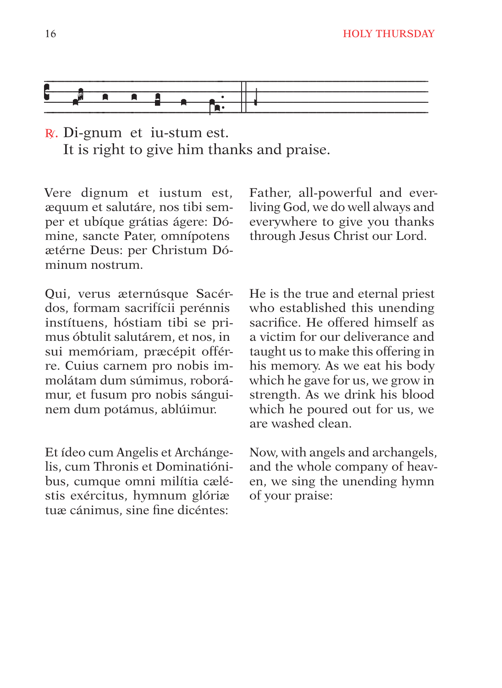

R∫. Di-gnum et iu-stum est. It is right to give him thanks and praise.

Vere dignum et iustum est, æquum et salutáre, nos tibi semper et ubíque grátias ágere: Dómine, sancte Pater, omnípotens ætérne Deus: per Christum Dóminum nostrum.

Qui, verus æternúsque Sacérdos, formam sacrifícii perénnis instítuens, hóstiam tibi se primus óbtulit salutárem, et nos, in sui memóriam, præcépit offérre. Cuius carnem pro nobis immolátam dum súmimus, roborámur, et fusum pro nobis sánguinem dum potámus, ablúimur.

Et ídeo cum Angelis et Archángelis, cum Thronis et Dominatiónibus, cumque omni milítia cæléstis exércitus, hymnum glóriæ tuæ cánimus, sine fine dicéntes:

Father, all-powerful and everliving God, we do well always and everywhere to give you thanks through Jesus Christ our Lord.

He is the true and eternal priest who established this unending sacrifice. He offered himself as a victim for our deliverance and taught us to make this offering in his memory. As we eat his body which he gave for us, we grow in strength. As we drink his blood which he poured out for us, we are washed clean.

Now, with angels and archangels, and the whole company of heaven, we sing the unending hymn of your praise: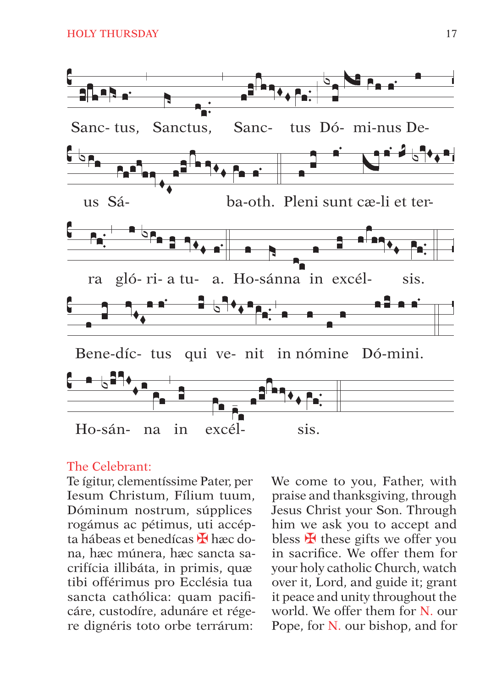

#### The Celebrant<sup>.</sup>

Te ígitur, clementíssime Pater, per Iesum Christum, Fílium tuum, Dóminum nostrum, súpplices rogámus ac pétimus, uti accépta hábeas et benedícas H hæc dona, hæc múnera, hæc sancta sacrifícia illibáta, in primis, quæ tibi offérimus pro Ecclésia tua sancta cathólica: quam pacificáre, custodíre, adunáre et régere dignéris toto orbe terrárum:

We come to you, Father, with praise and thanksgiving, through Jesus Christ your Son. Through him we ask you to accept and bless  $H$  these gifts we offer you in sacrifice. We offer them for your holy catholic Church, watch over it, Lord, and guide it; grant it peace and unity throughout the world. We offer them for N. our Pope, for N. our bishop, and for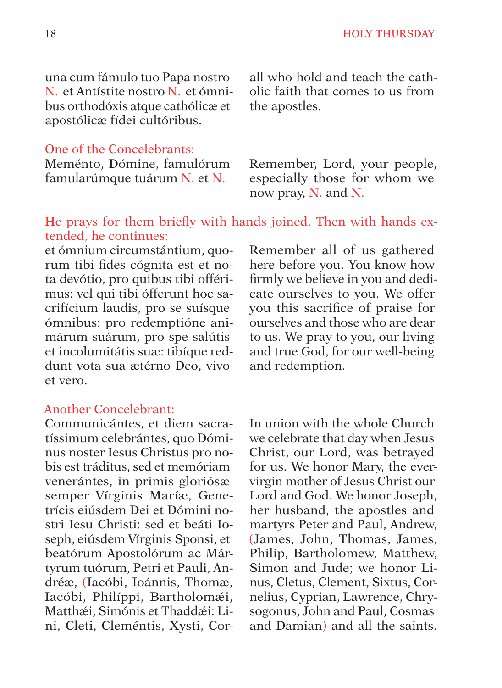una cum fámulo tuo Papa nostro N. et Antístite nostro N. et ómnibus orthodóxis atque cathólicæ et apostólicæ fídei cultóribus.

#### One of the Concelebrants:

Meménto, Dómine, famulórum famularúmque tuárum N. et N.

#### He prays for them briefly with hands joined. Then with hands extended, he continues:

et ómnium circumstántium, quorum tibi fides cógnita est et nota devótio, pro quibus tibi offérimus: vel qui tibi ófferunt hoc sacrifícium laudis, pro se suísque ómnibus: pro redemptióne animárum suárum, pro spe salútis et incolumitátis suæ: tibíque reddunt vota sua ætérno Deo, vivo et vero.

#### Another Concelebrant:

Communicántes, et diem sacratíssimum celebrántes, quo Dóminus noster Iesus Christus pro nobis est tráditus, sed et memóriam venerántes, in primis gloriósæ semper Vírginis Maríæ, Genetrícis eiúsdem Dei et Dómini nostri Iesu Christi: sed et beáti Ioseph, eiúsdem Vírginis Sponsi, et beatórum Apostolórum ac Mártyrum tuórum, Petri et Pauli, Andréæ, (Iacóbi, Ioánnis, Thomæ, Iacóbi, Philíppi, Bartholomæi, Matthæi, Simónis et Thaddæi: Lini, Cleti, Cleméntis, Xysti, Cor-

all who hold and teach the catholic faith that comes to us from the apostles.

Remember, Lord, your people, especially those for whom we now pray, N. and N.

Remember all of us gathered here before you. You know how firmly we believe in you and dedicate ourselves to you. We offer you this sacrifice of praise for ourselves and those who are dear to us. We pray to you, our living and true God, for our well-being and redemption.

In union with the whole Church we celebrate that day when Jesus Christ, our Lord, was betrayed for us. We honor Mary, the evervirgin mother of Jesus Christ our Lord and God. We honor Joseph, her husband, the apostles and martyrs Peter and Paul, Andrew, (James, John, Thomas, James, Philip, Bartholomew, Matthew, Simon and Jude; we honor Linus, Cletus, Clement, Sixtus, Cornelius, Cyprian, Lawrence, Chrysogonus, John and Paul, Cosmas and Damian) and all the saints.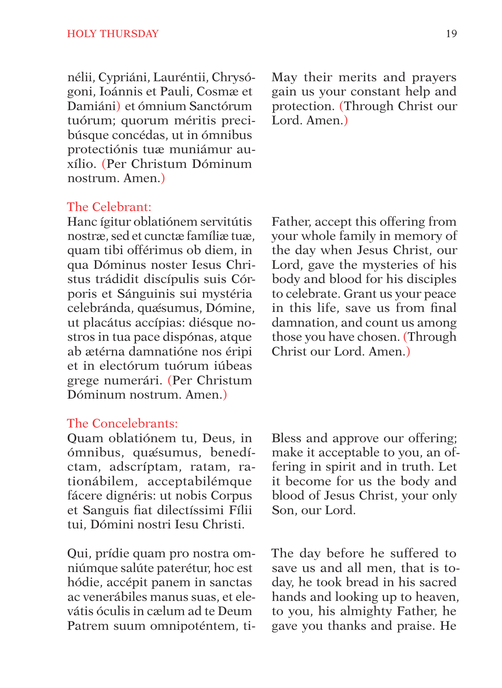nélii, Cypriáni, Lauréntii, Chrysógoni, Ioánnis et Pauli, Cosmæ et Damiáni) et ómnium Sanctórum tuórum; quorum méritis precibúsque concédas, ut in ómnibus protectiónis tuæ muniámur auxílio. (Per Christum Dóminum nostrum. Amen.)

The Celebrant:

Hanc ígitur oblatiónem servitútis nostræ, sed et cunctæ famíliæ tuæ, quam tibi offérimus ob diem, in qua Dóminus noster Iesus Christus trádidit discípulis suis Córporis et Sánguinis sui mystéria celebránda, quæ´sumus, Dómine, ut placátus accípias: diésque nostros in tua pace dispónas, atque ab ætérna damnatióne nos éripi et in electórum tuórum iúbeas grege numerári. (Per Christum Dóminum nostrum. Amen.)

#### The Concelebrants:

Quam oblatiónem tu, Deus, in ómnibus, quæ´sumus, benedíctam, adscríptam, ratam, rationábilem, acceptabilémque fácere dignéris: ut nobis Corpus et Sanguis fiat dilectíssimi Fílii tui, Dómini nostri Iesu Christi.

Qui, prídie quam pro nostra omniúmque salúte paterétur, hoc est hódie, accépit panem in sanctas ac venerábiles manus suas, et elevátis óculis in cælum ad te Deum Patrem suum omnipoténtem, tiMay their merits and prayers gain us your constant help and protection. (Through Christ our Lord. Amen.)

Father, accept this offering from your whole family in memory of the day when Jesus Christ, our Lord, gave the mysteries of his body and blood for his disciples to celebrate. Grant us your peace in this life, save us from final damnation, and count us among those you have chosen. (Through Christ our Lord. Amen.)

Bless and approve our offering; make it acceptable to you, an offering in spirit and in truth. Let it become for us the body and blood of Jesus Christ, your only Son, our Lord.

The day before he suffered to save us and all men, that is today, he took bread in his sacred hands and looking up to heaven, to you, his almighty Father, he gave you thanks and praise. He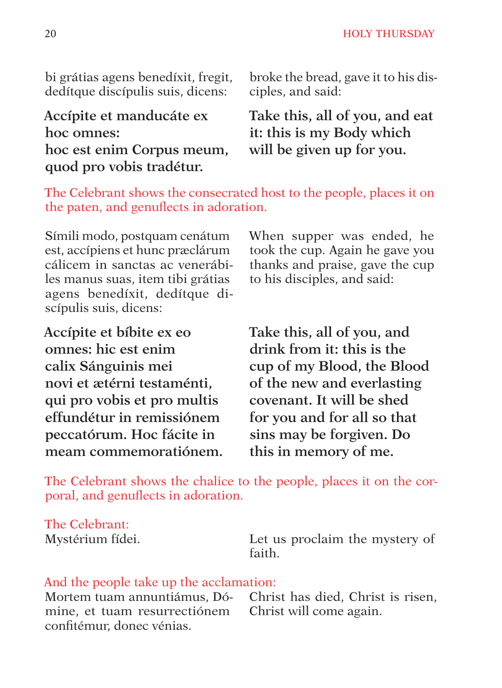bi grátias agens benedíxit, fregit, dedítque discípulis suis, dicens:

broke the bread, gave it to his disciples, and said:

# **Accípite et manducáte ex hoc omnes: hoc est enim Corpus meum, quod pro vobis tradétur.**

**Take this, all of you, and eat it: this is my Body which will be given up for you.**

The Celebrant shows the consecrated host to the people, places it on the paten, and genuflects in adoration.

Símili modo, postquam cenátum est, accípiens et hunc præclárum cálicem in sanctas ac venerábiles manus suas, item tibi grátias agens benedíxit, dedítque discípulis suis, dicens:

**Accípite et bíbite ex eo omnes: hic est enim calix Sánguinis mei novi et ætérni testaménti, qui pro vobis et pro multis effundétur in remissiónem peccatórum. Hoc fácite in meam commemoratiónem.** When supper was ended, he took the cup. Again he gave you thanks and praise, gave the cup to his disciples, and said:

**Take this, all of you, and drink from it: this is the cup of my Blood, the Blood of the new and everlasting covenant. It will be shed for you and for all so that sins may be forgiven. Do this in memory of me.**

The Celebrant shows the chalice to the people, places it on the corporal, and genuflects in adoration.

The Celebrant: Mystérium fídei.

Let us proclaim the mystery of faith.

#### And the people take up the acclamation:

Mortem tuam annuntiámus, Dómine, et tuam resurrectiónem confitémur, donec vénias.

Christ has died, Christ is risen, Christ will come again.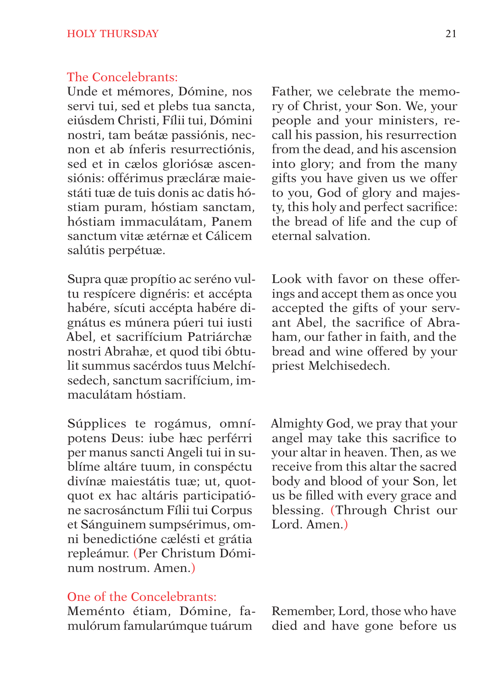#### The Concelebrants:

Unde et mémores, Dómine, nos servi tui, sed et plebs tua sancta, eiúsdem Christi, Fílii tui, Dómini nostri, tam beátæ passiónis, necnon et ab ínferis resurrectiónis, sed et in cælos gloriósæ ascensiónis: offérimus præcláræ maiestáti tuæ de tuis donis ac datis hóstiam puram, hóstiam sanctam, hóstiam immaculátam, Panem sanctum vitæ ætérnæ et Cálicem salútis perpétuæ.

Supra quæ propítio ac seréno vultu respícere dignéris: et accépta habére, sícuti accépta habére dignátus es múnera púeri tui iusti Abel, et sacrifícium Patriárchæ nostri Abrahæ, et quod tibi óbtulit summus sacérdos tuus Melchísedech, sanctum sacrifícium, immaculátam hóstiam.

Súpplices te rogámus, omnípotens Deus: iube hæc perférri per manus sancti Angeli tui in sublíme altáre tuum, in conspéctu divínæ maiestátis tuæ; ut, quotquot ex hac altáris participatióne sacrosánctum Fílii tui Corpus et Sánguinem sumpsérimus, omni benedictióne cælésti et grátia repleámur. (Per Christum Dóminum nostrum. Amen.)

### One of the Concelebrants:

Meménto étiam, Dómine, famulórum famularúmque tuárum

Father, we celebrate the memory of Christ, your Son. We, your people and your ministers, recall his passion, his resurrection from the dead, and his ascension into glory; and from the many gifts you have given us we offer to you, God of glory and majesty, this holy and perfect sacrifice: the bread of life and the cup of eternal salvation.

Look with favor on these offerings and accept them as once you accepted the gifts of your servant Abel, the sacrifice of Abraham, our father in faith, and the bread and wine offered by your priest Melchisedech.

Almighty God, we pray that your angel may take this sacrifice to your altar in heaven. Then, as we receive from this altar the sacred body and blood of your Son, let us be filled with every grace and blessing. (Through Christ our Lord. Amen.)

Remember, Lord, those who have died and have gone before us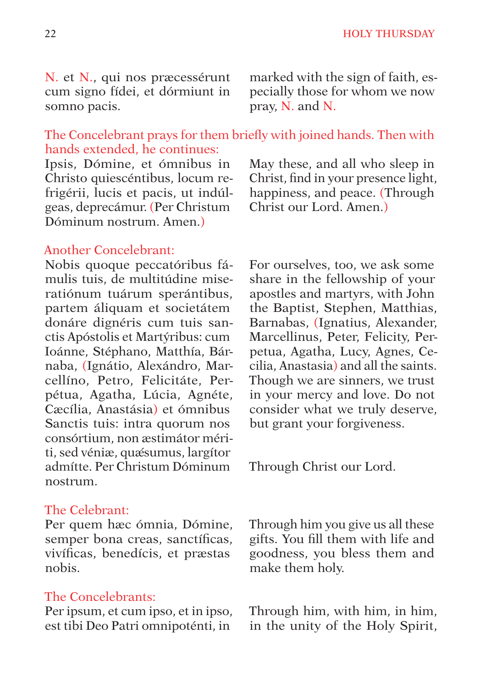N. et N., qui nos præcessérunt cum signo fídei, et dórmiunt in somno pacis.

marked with the sign of faith, especially those for whom we now pray, N. and N.

### The Concelebrant prays for them briefly with joined hands. Then with hands extended, he continues:

Ipsis, Dómine, et ómnibus in Christo quiescéntibus, locum refrigérii, lucis et pacis, ut indúlgeas, deprecámur. (Per Christum Dóminum nostrum. Amen.)

#### Another Concelebrant:

Nobis quoque peccatóribus fámulis tuis, de multitúdine miseratiónum tuárum sperántibus, partem áliquam et societátem donáre dignéris cum tuis sanctis Apóstolis et Martýribus: cum Ioánne, Stéphano, Matthía, Bárnaba, (Ignátio, Alexándro, Marcellíno, Petro, Felicitáte, Perpétua, Agatha, Lúcia, Agnéte, Cæcília, Anastásia) et ómnibus Sanctis tuis: intra quorum nos consórtium, non æstimátor mériti, sed véniæ, quǽsumus, largítor admítte. Per Christum Dóminum nostrum.

#### The Celebrant:

Per quem hæc ómnia, Dómine, semper bona creas, sanctíficas, vivíficas, benedícis, et præstas nobis.

#### The Concelebrants:

Per ipsum, et cum ipso, et in ipso, est tibi Deo Patri omnipoténti, in

May these, and all who sleep in Christ, find in your presence light, happiness, and peace. (Through Christ our Lord. Amen.)

For ourselves, too, we ask some share in the fellowship of your apostles and martyrs, with John the Baptist, Stephen, Matthias, Barnabas, (Ignatius, Alexander, Marcellinus, Peter, Felicity, Perpetua, Agatha, Lucy, Agnes, Cecilia, Anastasia) and all the saints. Though we are sinners, we trust in your mercy and love. Do not consider what we truly deserve, but grant your forgiveness.

Through Christ our Lord.

Through him you give us all these gifts. You fill them with life and goodness, you bless them and make them holy.

Through him, with him, in him, in the unity of the Holy Spirit,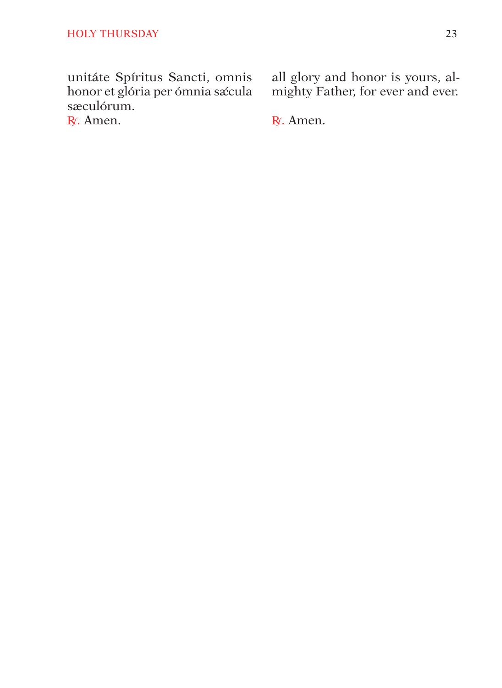unitáte Spíritus Sancti, omnis honor et glória per ómnia sæcula sæculórum.

R. Amen.

all glory and honor is yours, al-<br>mighty Father, for ever and ever.

R. Amen.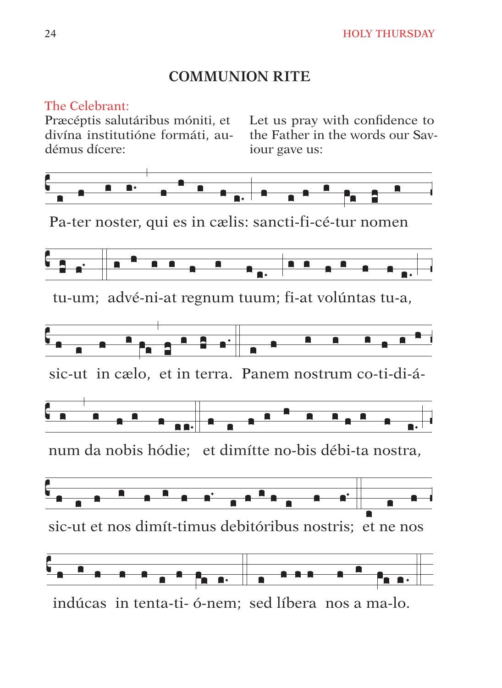# **COMMUNION RITE**

# The Celebrant:

divína institutióne formáti, audémus dícere<sup>.</sup>

Præcéptis salutáribus móniti, et Let us pray with confidence to the Father in the words our Saviour gave us:



Pa-ter noster, qui es in cælis: sancti-fi-cé-tur nomen



tu-um; advé-ni-at regnum tuum; fi-at volúntas tu-a,





sic-ut et nos dimít-timus debitóribus nostris: et ne nos



indúcas in tenta-ti- ó-nem; sed líbera nos a ma-lo.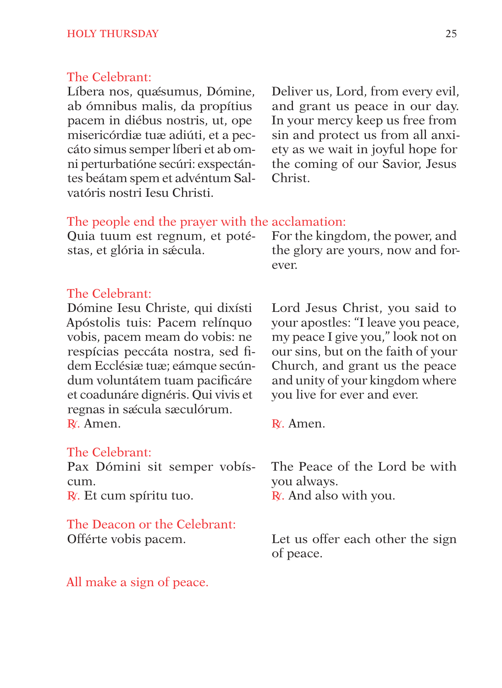#### The Celebrant:

Líbera nos, quæsumus, Dómine, ab ómnibus malis, da propítius pacem in diébus nostris, ut, ope misericórdiæ tuæ adiúti, et a peccáto simus semper líberi et ab omni perturbatióne secúri: exspectántes beátam spem et advéntum Salvatóris nostri Iesu Christi.

Deliver us, Lord, from every evil, and grant us peace in our day. In your mercy keep us free from sin and protect us from all anxiety as we wait in joyful hope for the coming of our Savior, Jesus Christ.

#### The people end the prayer with the acclamation:

|                            | Quia tuum est regnum, et poté For the kingdom, the power, and |
|----------------------------|---------------------------------------------------------------|
| stas, et glória in sæcula. | the glory are yours, now and for-                             |
|                            | ever.                                                         |

#### The Celebrant:

Dómine Iesu Christe, qui dixísti Apóstolis tuis: Pacem relínquo vobis, pacem meam do vobis: ne respícias peccáta nostra, sed fidem Ecclésiæ tuæ; eámque secúndum voluntátem tuam pacificáre et coadunáre dignéris. Qui vivis et regnas in sæcula sæculórum. R<sup>∫</sup> . Amen.

#### The Celebrant:

Pax Dómini sit semper vobíscum. R∫. Et cum spíritu tuo.

The Deacon or the Celebrant: Offérte vobis pacem.

All make a sign of peace.

Lord Jesus Christ, you said to your apostles: "I leave you peace, my peace I give you," look not on our sins, but on the faith of your Church, and grant us the peace and unity of your kingdom where you live for ever and ever.

R<sup>∫</sup> . Amen.

The Peace of the Lord be with you always. R∫. And also with you.

Let us offer each other the sign of peace.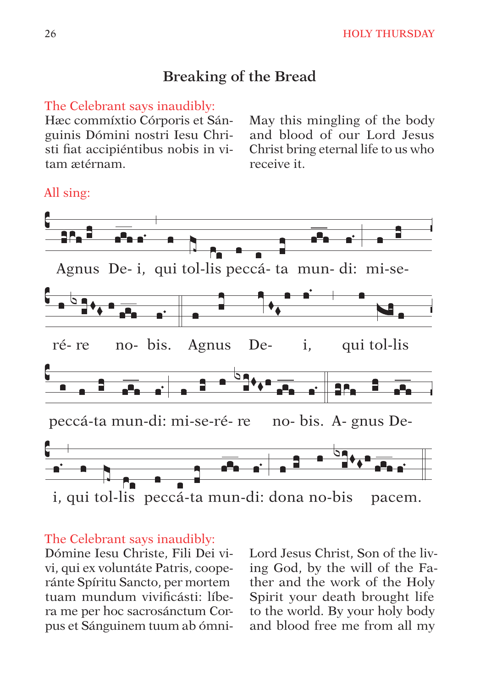# Breaking of the Bread

#### The Celebrant says inaudibly:

Hæc commíxtio Córporis et Sánguinis Dómini nostri Iesu Christi fiat accipiéntibus nobis in vitam ætérnam

May this mingling of the body and blood of our Lord Jesus Christ bring eternal life to us who receive it

# Agnus De-i, qui tol-lis peccá-ta mun-di: mi-sequi tol-lis no-bis. Agnus Deré-re i. peccá-ta mun-di: mi-se-ré-re no-bis. A- gnus Dei, qui tol-lis peccá-ta mun-di: dona no-bis pacem.

#### All sing:

#### The Celebrant says inaudibly:

Dómine Iesu Christe, Fili Dei vivi, qui ex voluntáte Patris, cooperánte Spíritu Sancto, per mortem tuam mundum vivificásti: líbera me per hoc sacrosánctum Corpus et Sánguinem tuum ab ómniLord Jesus Christ. Son of the living God, by the will of the Father and the work of the Holy Spirit your death brought life to the world. By your holy body and blood free me from all my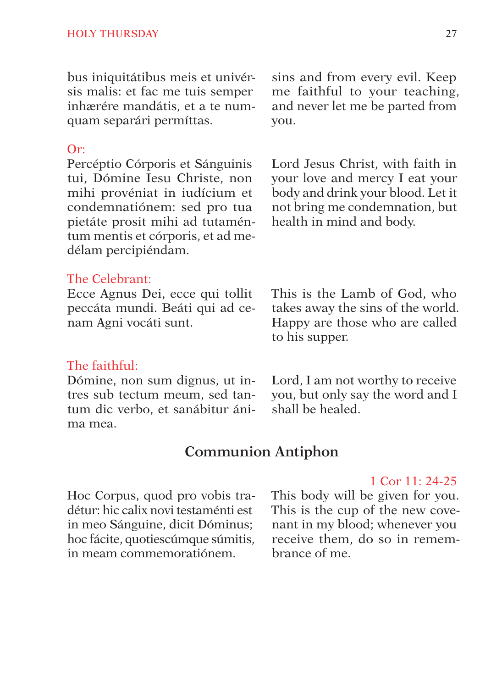bus iniquitátibus meis et univérsis malis: et fac me tuis semper inhærére mandátis, et a te numquam separári permíttas.

#### Or:

Percéptio Córporis et Sánguinis tui, Dómine Iesu Christe, non mihi provéniat in iudícium et condemnatiónem: sed pro tua pietáte prosit mihi ad tutaméntum mentis et córporis, et ad medélam percipiéndam.

#### The Celebrant:

Ecce Agnus Dei, ecce qui tollit peccáta mundi. Beáti qui ad cenam Agni vocáti sunt.

#### The faithful:

Dómine, non sum dignus, ut intres sub tectum meum, sed tantum dic verbo, et sanábitur ánima mea.

sins and from every evil. Keep me faithful to your teaching, and never let me be parted from you.

Lord Jesus Christ, with faith in your love and mercy I eat your body and drink your blood. Let it not bring me condemnation, but health in mind and body.

This is the Lamb of God, who takes away the sins of the world. Happy are those who are called to his supper.

Lord, I am not worthy to receive you, but only say the word and I shall be healed.

#### **Communion Antiphon**

Hoc Corpus, quod pro vobis tradétur: hic calix novi testaménti est in meo Sánguine, dicit Dóminus; hoc fácite, quotiescúmque súmitis, in meam commemoratiónem.

1 Cor 11: 24-25

This body will be given for you. This is the cup of the new covenant in my blood; whenever you receive them, do so in remembrance of me.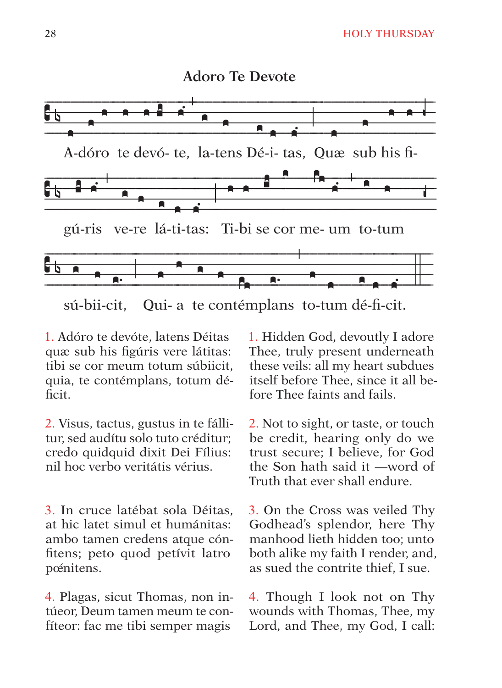

sú-bii-cit. Qui- a te contémplans to-tum dé-fi-cit.

1. Adóro te devóte, latens Déitas quæ sub his figúris vere látitas: tibi se cor meum totum súbiicit. quia, te contémplans, totum déficit.

2. Visus, tactus, gustus in te fállitur, sed audítu solo tuto créditur: credo quidquid dixit Dei Fílius: nil hoc verbo veritátis vérius

3. In cruce latébat sola Déitas. at hic latet simul et humánitas: ambo tamen credens atque cónfitens; peto quod petívit latro poénitens.

4. Plagas, sicut Thomas, non intúeor, Deum tamen meum te confíteor: fac me tibi semper magis

1. Hidden God, devoutly I adore Thee, truly present underneath these veils: all my heart subdues itself before Thee, since it all before Thee faints and fails.

2. Not to sight, or taste, or touch be credit, hearing only do we trust secure; I believe, for God the Son hath said it —word of Truth that ever shall endure.

3. On the Cross was veiled Thy Godhead's splendor, here Thy manhood lieth hidden too: unto both alike my faith I render, and, as sued the contrite thief. I sue.

4. Though I look not on Thy wounds with Thomas, Thee, my Lord, and Thee, my God, I call: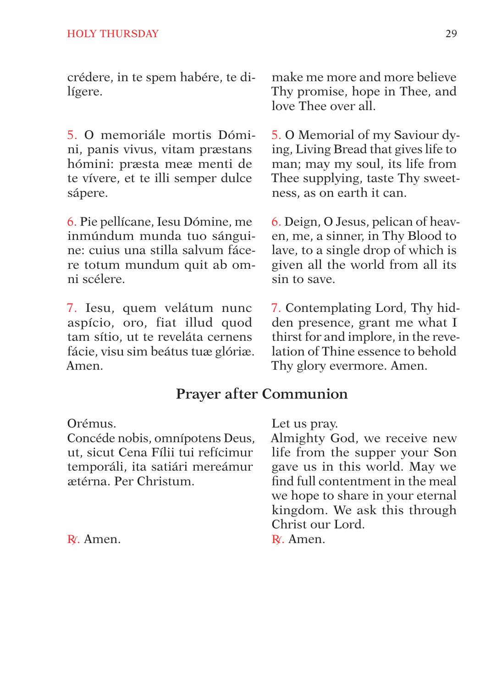crédere, in te spem habére, te dilígere.

5. O memoriále mortis Dómini, panis vivus, vitam præstans hómini: præsta meæ menti de te vívere, et te illi semper dulce sápere.

6. Pie pellícane, Iesu Dómine, me inmúndum munda tuo sánguine: cuius una stilla salvum fácere totum mundum quit ab omni scélere.

7. Iesu, quem velátum nunc aspício, oro, fiat illud quod tam sítio, ut te reveláta cernens fácie, visu sim beátus tuæ glóriæ. Amen.

make me more and more believe Thy promise, hope in Thee, and love Thee over all.

5. O Memorial of my Saviour dying, Living Bread that gives life to man; may my soul, its life from Thee supplying, taste Thy sweetness, as on earth it can.

6. Deign, O Jesus, pelican of heaven, me, a sinner, in Thy Blood to lave, to a single drop of which is given all the world from all its sin to save.

7. Contemplating Lord, Thy hidden presence, grant me what I thirst for and implore, in the revelation of Thine essence to behold Thy glory evermore. Amen.

# **Prayer after Communion**

Orémus.

Concéde nobis, omnípotens Deus, ut, sicut Cena Fílii tui refícimur temporáli, ita satiári mereámur ætérna. Per Christum.

R<sup>∫</sup> . Amen.

Let us pray.

Almighty God, we receive new life from the supper your Son gave us in this world. May we find full contentment in the meal we hope to share in your eternal kingdom. We ask this through Christ our Lord.

R<sup>∫</sup> . Amen.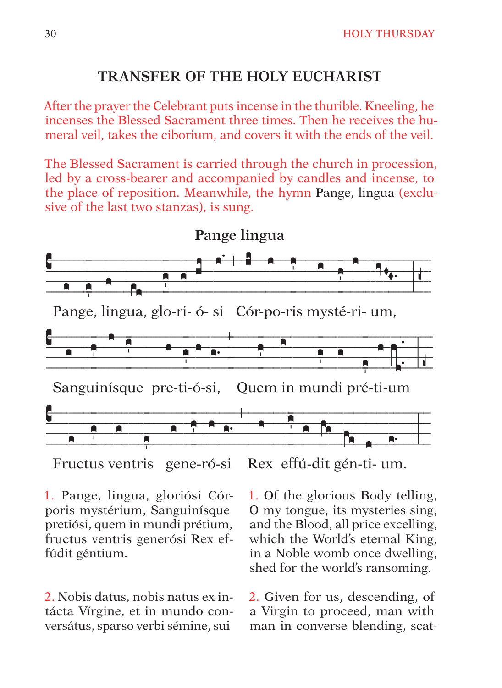# **TRANSFER OF THE HOLY EUCHARIST**

After the prayer the Celebrant puts incense in the thurible. Kneeling, he incenses the Blessed Sacrament three times. Then he receives the humeral yeil, takes the ciborium, and covers it with the ends of the yeil.

The Blessed Sacrament is carried through the church in procession. led by a cross-bearer and accompanied by candles and incense, to the place of reposition. Meanwhile, the hymn Pange, lingua (exclusive of the last two stanzas), is sung.



Rex effú-dit gén-ti- um. Fructus ventris gene-ró-si

1. Pange, lingua, gloriósi Córporis mystérium, Sanguinísque pretiósi, quem in mundi prétium, fructus ventris generósi Rex effúdit géntium.

2. Nobis datus, nobis natus ex intácta Vírgine, et in mundo conversátus, sparso verbi sémine, sui

1. Of the glorious Body telling, O my tongue, its mysteries sing, and the Blood, all price excelling, which the World's eternal King. in a Noble womb once dwelling. shed for the world's ransoming.

2. Given for us, descending, of a Virgin to proceed, man with man in converse blending, scat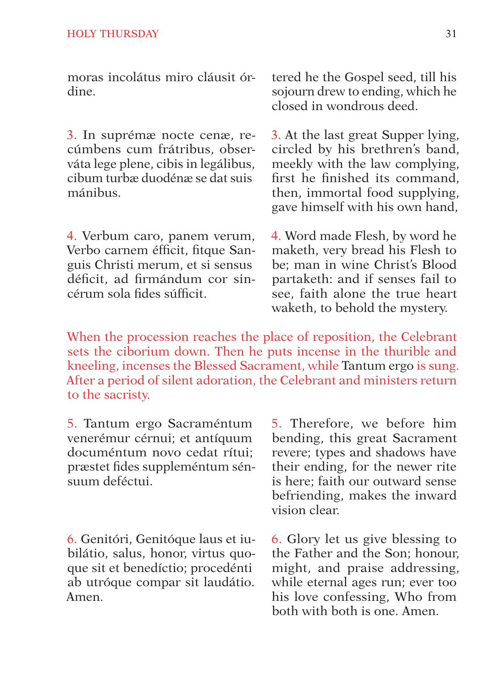moras incolátus miro cláusit órdine.

3. In suprémæ nocte cenæ, recúmbens cum frátribus, observáta lege plene, cibis in legálibus, cibum turbæ duodénæ se dat suis mánibus.

4. Verbum caro, panem verum, Verbo carnem éfficit, fitque Sanguis Christi merum, et si sensus déficit, ad firmándum cor sincérum sola fides súfficit.

tered he the Gospel seed, till his sojourn drew to ending, which he closed in wondrous deed.

3. At the last great Supper lying, circled by his brethren's band, meekly with the law complying, first he finished its command, then, immortal food supplying, gave himself with his own hand,

4. Word made Flesh, by word he maketh, very bread his Flesh to be; man in wine Christ's Blood partaketh: and if senses fail to see, faith alone the true heart waketh, to behold the mystery.

When the procession reaches the place of reposition, the Celebrant sets the ciborium down. Then he puts incense in the thurible and kneeling, incenses the Blessed Sacrament, while Tantum ergo is sung. After a period of silent adoration, the Celebrant and ministers return to the sacristy.

5. Tantum ergo Sacraméntum venerémur cérnui; et antíquum documéntum novo cedat rítui; præstet fides suppleméntum sénsuum deféctui.

6. Genitóri, Genitóque laus et iubilátio, salus, honor, virtus quoque sit et benedíctio; procedénti ab utróque compar sit laudátio. Amen.

5. Therefore, we before him bending, this great Sacrament revere; types and shadows have their ending, for the newer rite is here; faith our outward sense befriending, makes the inward vision clear.

6. Glory let us give blessing to the Father and the Son; honour, might, and praise addressing, while eternal ages run; ever too his love confessing, Who from both with both is one. Amen.